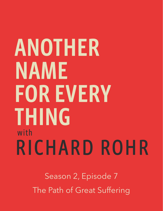## ANOTHER NAME **FOR EVERY** THING with RICHARD ROHR

Season 2, Episode 7 The Path of Great Suffering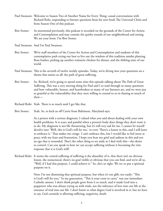- Paul Swanson: Welcome to Season Two of Another Name for Every Thing: casual conversations with Richard Rohr, responding to listener questions from his new book The Universal Christ and from Season One of this podcast.
- Brie Stoner: As mentioned previously, this podcast is recorded on the grounds of the Center for Action and Contemplation and may contain the quirky sounds of our neighborhood and setting. We are your hosts. I'm Brie Stoner.

Paul Swanson: And I'm Paul Swanson.

- Brie Stoner: We're staff members of the Center for Action and Contemplation and students of this contemplative path trying our best to live out the wisdom of this tradition amidst planting Rose bushes, picking up another rotisserie chicken for dinner, and the shifting state of our world.
- Paul Swanson: This is the seventh of twelve weekly episodes. Today, we're diving into your questions on a theme that unites us all: the path of great suffering.
- Brie Stoner: So, Richard, we're going to spend some time this episode talking about The Path of Great Suffering. This was a very moving thing for Paul and I to read through so many questions and how vulnerable, honest, and heartbroken so many of our listeners are, and we were just so grateful at the vulnerability that they were willing to extend to us in sharing so much of their—
- Richard Rohr: Yeah. There is so much mail I get like that.
- Brie Stoner: Yeah. So, to kick us off Carrie from Baltimore, Maryland says:

 As a person with a serious diagnosis, I valued what you said about dealing with your own health problems. It is scary and painful when a person's body does things they don't want it to do. My diagnosis is not life threatening, but it's still very sad for me. I cannot let myself devolve into 'Well, this is God's will for me,' or even 'There's a lesson in this, and I will learn to embrace it.' That makes me cringe. I can't embrace this, but I would like to feel more at peace with my fears and frustration. I hope you hear my grief and sadness in this and not an ego that is wounded. That's the other thing to set aside as I deal with this—the desire to control. Can you speak to how we can accept suffering without it becoming the trite response that it is God's will?

Richard Rohr: It seems the central suffering of suffering is the absurdity of it, that there isn't an obvious lesson, the nonsensical, there's no goal visible or obvious that you can find, and we're all so, "Well, if I had this purpose, I could achieve it." So, she's so right. We try to put a spiritual purpose on it.

> Now, I'm not dismissing that spiritual purpose, but when it's too glib, too easily: "This is God's will for you." In my generation, "This is your cross to carry," was our immediate Catholic answer. I don't think people grew from it so much, and it made God into a puppeteer who was always trying us with trials, not the inference of love into our life at the entrance of trial into our life. I don't know to what degree God is involved in it, but we have to say, God certainly is allowing suffering, negativity, death.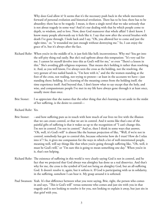Why does God allow it? It seems that it's the necessary push back in the whole movement forward of personal evolution and historical revolution. There has to be loss; there has to be absurdity; there has to be tragedy. I mean, is there a single novel that we take seriously that is not about tragedy in some way? And it's our dealing with that by which people come to depth, to wisdom, and to love. Now, does God maneuver that whole affair? I don't know. I know many people afterwards say it feels like it. I say that now after the several brushes with death I've gone through. I look back and I say, "Oh, you allowed her to come and just the right time," or, "it wounded me just enough without destroying me." So, I can enjoy the grace of it, but it's always after the fact.

- Richard Rohr: When you're in the middle of it, it just feels like hell; inconvenience. Why me? You get into the self-pity thing real easily. But she's real upfront about this temptation: "It's very sad for me. I cannot let myself devolve into this as God's will for me," or even "There's a lesson in this." She's avoiding glib religious responses. That means she's holding it rather than resolving it. And, as you well know, I've always seen the cross as the holding, not the resolving, the very gesture of two nailed hands is, "I'm here with it," and the the women standing at the foot of the cross, not wailing, not trying to protest—at least in the accounts we have—just standing there; holding. It's a learning of the meaning comes from the holding itself, the time experience itself. And beyond that, I don't know what to say except that the holy, and wise, and compassionate people I've met in my life have always gone through it at least once, usually more than once.
- Brie Stoner: I so appreciate that she names that the other thing that she's learning to set aside in the midst of her suffering, is the desire to control—
- Richard Rohr: Yes.
- Brie Stoner: --and how suffering puts us in touch with how much of our lives we live with the illusion that we can create control, or that we are in control. And it seems like that's one of the painful gifts of suffering is that it wakes us up to the recognition of "I can't change this. I'm not in control. I'm not in control." And so, then I think in some ways that answer, "Oh, well, it's God's will" is almost like the human projection of like, "Well, if we're not in control, somebody has got to control this, because otherwise how do I trust? How do I relax into it"? So, it gives me compassion for the ways in which a lot of well-intentioned people, meaning well, will say things like that when you're going through suffering like, "Oh, well, it must be God's will," or "I'm sure this is going to mean something one day." When you're in it, that's not helping.
- Richard Rohr: The existence of suffering in this world is very clearly saying God is not in control, and he fact that we projected that God always was almighty has done us a real disservice. And that's why for me, the cross is the symbol of God not being an almighty God, but an all-suffering God. It doesn't resolve it, again, but it softens it. If God is participating with us in solidarity, in the suffering, somehow I can bear it. My grasp around it is softened.
- Paul Swanson: Yeah. It's that difference between what you were saying, Brie, right, the person who comes in and says, "This is God's will" versus someone who comes and just sits with you in that tragedy and is not looking to resolve it for you, not looking to explain it away, but just sits in that grief with you.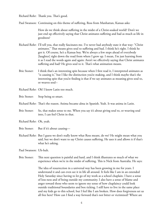Richard Rohr: Thank you. That's good.

Paul Swanson: Continuing on this theme of suffering, Ross from Manhattan, Kansas asks:

 How do we think about suffering in the midst of a Christ-soaked world? Don't we just end up effectively saying that Christ animates suffering and bad as much as life in goodness?

- Richard Rohr: I'll tell you, that really fascinates me. I've never had anybody state it that way: "Christ animates." That means gives soul to suffering and bad. I think he's right. I think he got it. Of course, he's a Kansas boy. We're always a few steps ahead of everybody [laughter] right down the road from where I grew up. I mean, I'm just learning from it as I read the words again and again: Aren't we effectively saying that Christ animates suffering and bad? He gives soul to it. That's what animation means.
- Brie Stoner: I think that's an interesting spin because when I first read it, I interpreted animates as "is causing it," but I like the distinction you're making, and I think maybe that's the interesting spin that you're finding is that if we say animates as meaning gives soul to, or weaves soul--
- Richard Rohr: Oh! I know Latin too much.

Brie Stoner: Stop being so smart.

Richard Rohr: That's the reason. Anima became alma in Spanish. Yeah. It was anima in Latin.

- Brie Stoner: So, that makes sense to me. When you say it's about giving soul to, or weaving soul into, I can feel Christ in that.
- Richard Rohr: Oh, yeah.
- Brie Stoner: But if it's about causing—
- Richard Rohr: But I guess we don't really know what Ross meant, do we? He might mean what you said, but we don't want to say Christ causes suffering. He uses it and allows it if that's what he's asking.

Paul Swanson: Uh-huh.

Brie Stoner: This next question is painful and hard, and I think illustrates so much of what we experience when we're in the midst of suffering. This is Nick from Australia. He says:

> The idea of resurrection in a universal way has been growing in me for years. I understand it and can even see it in life all around. It feels like I am in an extended Holy Saturday since having to let go of my work as a school chaplain. I have a sense of loss-ness and of being outside my community. I also have a sense of blame and anger toward those who seem to ignore my sense of how chaplaincy could look outside traditional boundaries and box ticking. I still have to live in the same place and my kids go to this school, but I feel like I am broken. How does forgiveness set us all free here? How can I find a way forward that's not bitter or victimized? Where are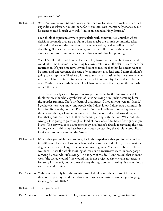you, resurrection?

Richard Rohr: Wow. So how do you still find solace even when we feel isolated? Well, you can't selfengender consolation. You can hope for it; you can even intentionally choose it. But he seems to read himself very well: "I'm in an extended Holy Saturday".

> I can think of experiences where, particularly with communities, churches where decisions are made that are painful or where maybe the church community takes a direction that's not the direction that you believed in, or that feeling that he's describing like he's on the outside now, and yet he still has to continue to be enmeshed in this community. I can feel that anguish that he's pointing to.

 Yes. He's still in the middle of it. He is in Holy Saturday, but that he knows it and could take time to name it, admitting his own weakness, all the elements are there for resurrection. It's just time now, it would seem to me, the fact that he doesn't want to be bitter and can recognize the state of victimization as a dead end. I don't think he's going to end up there. That's easy for me to say. I'm an outsider, but I can see why he was a chaplain. Isn't it painful when it's the belief community? I take that to be the case. Maybe it was a Catholic school or Christian school, that they are the ones who caused the pain.

 The cross is usually caused by your in group, sometimes by the out group, and I think that was the whole symbolism of Peter betraying him; Judas betraying him; the apostles running. That's the betrayal that hurts: "I thought you were my friend." I get hate letters, you know, and people who I don't know, I don't care that much. It hurts for 10 seconds, but then I'm over it. But, the loneliness of suffering, because those who I thought I was in union with, in fact, never really understood me, at least that's your fear. Then "Is there something wrong with me," or "What did I do wrong"? He's going to go through all kind of levels of self-doubt, self-critique, anger, blame. The easy way is to blame somebody else, but he's already recognizing the need for forgiveness. I think we have been very weak on teaching the absolute centrality of forgiveness to understanding the Gospel.

- Richard Rohr: It's not that you might need to do it, it's in this experience that you found your life in a different place. You have to be betrayed at least once. I think so, if I can make a dogmatic statement. Forgive me for sounding dogmatic. You have to be used, hurt, wounded. That's the whole meaning of Jesus in his resurrected state, in every gospel, carrying his wounds. He's saying, "This is part of the deal." And we call that in men's work "the sacred wound," the wound that is not projected elsewhere, is not used to feel sorry for the self, but becomes the way through. So, he's turning his wound into a sacred wound, I think.
- Paul Swanson: Yeah, you can really hear the anguish. And I think about the seasons of life where there is that portrayal and then also your prayer even hurts because it's just longing; it's just groaning. Right?

Richard Rohr: That's good, Paul.

Paul Swanson: The way he even names it: "Holy Saturday. Is Easter Sunday ever going to come"?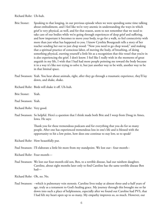Richard Rohr: Uh-huh.

- Brie Stoner: Speaking to that longing, in our previous episode when we were spending some time talking about embodiment, and I feel like we're very anemic in understanding the ways in which grief is very physical, as well, and for that reason, seem to not remember that we need to take care of our bodies while we're going through experiences of deep grief and suffering, and how important it becomes to move your body, to go for a walk, to feel connectivity with more than just what has happened to you. I know Cynthia Bourgeault tells a story of her teacher sending her out to just chop wood: "Now you need to go chop wood," and making that a spiritual practice of conscious labor, of moving the body, of breathing, of doing something physical, exerting yourself a little bit as a recognition that this vessel that you're in is also experiencing the grief. I don't know. I feel like I really wish in the moments of great anguish in my life, I wish that I had had more people pointing me toward the body because it in a way it's like not trying to solve it, but just another way to be with, another way to be in that liminal space.
- Paul Swanson: Yeah. You hear about animals, right, after they go through a traumatic experience, they'll lay down, and shake, shake.
- Richard Rohr: Birds will shake it off. Uh-huh.
- Brie Stoner: Yeah.
- Paul Swanson: Yeah.
- Richard Rohr: Very good.
- Paul Swanson: So helpful. Here's a question that I think made both Brie and I weep from Doug in Ames, Iowa. He says:

 Thank you for these tremendous podcasts and for everything that you do for so many people. After one has experienced tremendous loss in one's life and is blessed with the opportunity to hit a low point, how does one continue to stay low, so to speak?

Richard Rohr: How beautifully put.

- Paul Swanson: I'll elaborate a little bit more from my standpoint. We lost our-- four-month--
- Richard Rohr: Four-month—
- Paul Swanson: We lost our four-month-old son, Ben, to a terrible disease, had our rainbow daughter, Caroline, about eight months later only to find Caroline has the same terrible disease Ben had—
- Richard Rohr: Oh, no. No.
- Paul Swanson: --which is pulmonary vein stenosis. Caroline lives today at almost three-and-a-half years of age, truly as a testament to God's healing grace. My journey through this brought me so far down into such a place of helplessness, especially after we found out Caroline had PVS, that I had felt my heart open up to so many. My empathy improves so, so much. However, our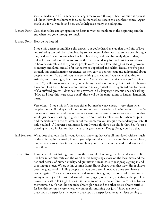society, media, and life in general challenges me to keep this open heart of mine as open as I'd like it. How do we humans focus to do the work to sustain this openheartedness? Again, thank you for all you do and how you've helped so many, including me.

- Richard Rohr: God, that he has enough space in his heart to want to thank me at the beginning and the end when he's gone through so much.
- Richard Rohr: How do we keep it?

 I hope this doesn't sound like a glib answer, but you've heard me say that the fruits of love and suffering can only be maintained by some contemplative practice. So he's been brought low, he doesn't want to lose what he's learning there, and he's absolutely right in that, so unless he can find something to protect the natural tendency for his heart to close down, to become cynical, and then you see people worried about lesser things, or seeking power, or money, and fame, and all of it just seems so superficial and selfish. Because you've gone through this transformative experience, it's very easy to get righteous and judgmental about people who are, "You think you have something to cry about," you know, that kind of attitude, and you're right, but don't go there. And you've got to notice when you're doing that: "My suffering is greater than your suffering," and it is probably, but don't let it become a weapon. Don't let it become ammunition to make yourself the enlightened one by reason of I've suffered greater. I don't see that anywhere in his language here, but since he's asking, "How do I keep this heart space open?" those will be the temptations to harden, harden his heart.

 Very often—I hope this isn't the case either, but maybe you've heard—very often when couples lose a child, they take it out on one another. They're both hurting so much. They've lost so much together and, again, that scapegoat mechanism has to go somewhere. So, that would just be one warning I'd give. I hope we don't lose Caroline too, but when couples find themselves with the children out of the room, can you imagine the tendency to just, "If only you had--." I haven't been married, but I would think you would do that. So, it's just a warning with no indication that—what's his good name—Doug; Doug would do that.

- Paul Swanson: What does that look like for you, Richard, knowing that we're all inundated with so much of the suffering in the world, how do you help keep that space open and in your own heart, too, to be able to let that impact you and how you participate in the world and serve and love others?
- Richard Rohr: I honestly feel, just last night watching the news, like I'm doing that less and less well. It's just how much absurdity can the world carry? Every single story on the local news and the national news is of human cruelty and gratuitous human cruelty, just people going in and shooting up stores. Where is this coming from? Has it always been that way? Has it always been the gratuity of it, killing people that you don't even know; you don't even have a grudge against? "But my inner wound and anguish is so great, I've got to take it out on an anonymous object." I don't understand it. And, again, very often, not always, the people in power—at least in last night's news—in the army or in the police force, were just as bad as the victims. So, it's not like one side's always glorious and the other side is always terrible. It's like this poison is everywhere. My prayer this morning was just, "Show me how to draw upon a deeper love. I choose to draw upon a deeper love, because it isn't coming to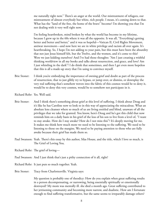me naturally right now." There's an anger at the world. Our mistreatment of refugees, our mistreatment of almost everybody but white, rich people. I mean, it's coming down to that. What has the "land of the free, the home of the brave" become? I'm showing you that I'm not dealing with it very well right now.

 I'm feeling heartbroken, mind broken by what the world has become in my lifetime, because I grew up in the 60s where it was all the opposite. It was all, "Everything's getting better and better and better," and it was so hopeful—Vatican II, Civil Rights Movement, antiwar movement—and now here we are in white privilege and racism all over again. It's heartbreaking. So, I hope I'm not adding to your pain, but this must have been the absurdity that not just Jesus himself felt, but the Twelve, and the women, and it's come to this? Were we just kidding ourselves? And I've had those thoughts: "Am I just creating a wishful thinking worldview in all my books and talks about resurrection, and grace, and love? Am I just whistling in the dark"? I do think that sometimes, and then I get even more hopeless that this is all a made-up story that I'm using to convince myself.

- Brie Stoner: I think you're embodying the importance of owning grief and doubt as part of the process of resurrection, that to just glibly try to bypass, or jump over, or dismiss, or downplay the very real suffering that's somehow woven into the fabric of this cosmos would be to deny it, would be to deny this very cosmos, would be to somehow not participate in it.
- Richard Rohr: Yes. Well said.
- Brie Stoner: And I think there's something about grief at this level of suffering. I think about Doug and it's like he has Caroline now to look to in this way of appreciating the miraculous. What an absolute lens cleanser where so much of us are living entitled and blind, unaware of all the privileges that we take for granted. You know, here's Doug and he's got this child that now reminds him on a daily basis in his grief of the loss of his son to live from a level of, "I want to stay awake. How do I stay awake? How do I not miss this"? It's deeply moving for me. It makes me think how much more we need to be listening to the suffering. We need to be listening to those on the margins. We need to be paying attention to those who are fully awake because their grief has made them so.
- Paul Swanson: Yeah. There's this essay by this author, Silas House, and the title, which I love so much, is The Grief of Loving You.
- Richard Rohr: The grief of loving—
- Paul Swanson: And I just think that's just a pithy connection of it all, right?
- Richard Rohr: It just puts so much together. Yeah.
- Brie Stoner: Tracy from Charlottesville. Virginia says:

 My question is probably one of theodicy: How do you explain when great suffering results in a person decompensating, or narrowing, being essentially spiritually or emotionally destroyed? My mom was mentally ill. she died a month ago. Great suffering contributed to her jettisoning community and becoming more narrow, and dualistic. How am I fortunate enough to find suffering transformative, but the same seems to irreparably damage others?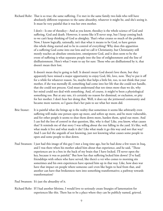Richard Rohr: That is so true; the same suffering. I've met in the same family two kids who will have absolutely different responses to the same absurdity, whatever it might be, and she's seeing it. It must be very painful that it was her own mother.

> I don't-- Is one of theodicy-- And as you know, theodicy is the whole science of God and suffering, God and death. However, it seems like it'll never stop, but I keep coming back to we can't keep thinking of God as almighty. That's what creates so much of the problem. Now, I know logically, rationally, isn't that what it means to be God, to have gotten this whole thing started and to be in control of everything? Why does this apparition of a suffering God come into our lens and we call it Christianity, but Christianity still mostly teaches an absolute omniscient, omnipotent God, and it does seem to be the event of suffering is what separates people into the line of enlightenment and the line of disillusionment. Here's what I want to say for sure: Those who are disillusioned by it, that doesn't mean their lost.

 It doesn't mean they're going to hell. It doesn't mean God doesn't love them, but they apparently have missed a major opportunity to enjoy God, life, love, now. They've put it off for a while for whatever reason. So, maybe that helps a little bit, too, to not think that your mother, if she was mentally ill, something had come into her life that she could not handle, that she could not process. God must understand that ten times more than we do, why her mind could not deal with something. And, of course, it might've been a physiological something too. But at any rate, it's certainly no reason for dismissal, or exclusion, or pity for her mother. I don't hear her doing that. Well, it does say she jettisoned community and became more narrow, so I guess that's her pain to see what her mom did.

- Brie Stoner: It is painful what she brings up is the reality that sometimes it seems like arbitrarily even suffering will make one person open up more, and soften up more, and be more vulnerable, and for other people it seems to shut them down more, harden them, spiral out more. And I can feel the loss of control in that question, like, why is that? Like, you know, what causes that? It reminds me of that story I was telling about the tree falling in the yard. It's like, well, what made it live and what made it die? Like what made it go this way and not that way? And I can feel the anguish of not knowing, just not knowing what causes some people to open and some people to shut down.
- Paul Swanson: I just had this image of this guy I met a long time ago, but he had done a few tours in Iraq, and I was there when his mother asked him about that experience, and he said, "Those experiences are in a box in the back of my brain that I have locked. I'll never open the key, because it was so painful." But how has that suffering locked him down? [I've had] friendships with others who have served, like there's a vet who comes to morning sits sometimes and his own experiences have opened him up in that way. Like, how does war have that impact on people where someone can't even like begin to heal from that, and another can have that brokenness turn into something transformative; a pathway towards transformation?

Paul Swanson: It's just the absurdity of it.

Richard Rohr: If I had another lifetime, I would love to seriously create liturgies of lamentation for experiences like this. There has to be a place where they can be publicly named, grieved.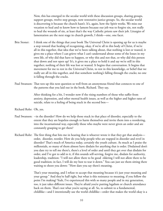Now, this has emerged in the secular world with these discussion groups, sharing groups, support groups, twelve step groups, now restorative justice groups. So, the secular world is discovering it because the church hasn't. It's, again, how the Spirit works. We miss our vocation to heal and to know how to lament because our job was to forgive sin, not really to heal the wounds of sin, at least that's the way Catholic priests saw their job. Liturgies of lamentation are the next stage in church growth, I think—one, one facet.

- Brie Stoner: I think one of the things that your book The Universal Christ is opening up for us is maybe a step toward that healing of recognizing, okay, if we're all in this body of Christ, if we're all in this together, that idea that we've been talking about, that nothing is lost or wasted, it gives me a place where I can grieve what I can't understand about some of the losses in my own life, of why did that have to happen, or why this and not that, or why did this person shut down and not open up? It's, it gives me a place to hold it and say we're still in this together; nothing of their life was lost or wasted. It begins that conversation. It begins that movement for me to rest in the Universal Christ, to rest in this knowledge, or belief that we really are all in this together, and that somehow nothing's falling through the cracks; no one is falling through the cracks.
- Paul Swanson: That tees up this next question so well from an anonymous friend that connects to one of the patterns that you laid out in the book, Richard. They say,

 After thinking for a bit, I wonder now if the rising numbers of those who suffer from anxiety, depression, and other mental health issues, as well as the higher and higher rates of suicide, relate to a feeling of being stuck in the second box—

- Richard Rohr: Oh, yes.
- Paul Swanson: --in the disorder? How do we help those stuck in that place of disorder, especially to the extent that they are hopeless enough to harm themselves and invite them into a reordering, into the incarnational way, especially those who maybe were never given an order and are constantly grasping to get there?
- Richard Rohr: The first thing that hits me in hearing that is whoever wrote it that they get that analysis order, disorder, reorder. How do you help people who are trapped in disorder and revel in disorder? That's much of America today, certainly the youth culture. As much as I praise the millennials, so many of them almost have disdain for anything that is order. Disdained don't you dare try to tell me there's, there's a level of order and until they get over that disdain for order, and I've got to add to it, if this sounds self-serving, forgive me, disdain for authority, leadership, tradition: "I will not allow there to be good eldering I will not allow there to be good tradition; in fact, I will do my best to tear it down." You can just see them sitting there waiting to shoot you down: "How dare you say there's meaning.

 That's your meaning, and I refuse to accept that meaning because it's just your meaning and your group." And they're half right, but what is this resistance to meaning, if you follow the point I'm making? Yeah, I've experienced this with so many people and in my generation, too, it just takes different issues. They're afraid you're putting legalism or church attendance back on them. That's not what you're saying at all. So, to submit to a fundamental, childlike—and I intentionally use the world childlike—order that makes the world okay is a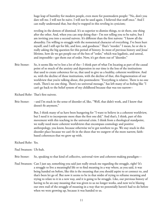huge leap of humility for modern people, even more for postmodern people: "No, don't you dare tell me. I will not be naive. I will not be used again. I believed that stuff once." And I can really understand that, but they're trapped in this reveling in cynicism;

 reveling in the demon of dismissal. It's so superior to dismiss things, to sit there, one thing after the other. And, when you can stop doing that-- I'm not telling you to be naïve, but I am inviting you into a second naivete. It's different than the first naivete: "I know all the absurdity. I'm willing to struggle with the nonsensical character of everything. I've been hurt myself, and I still opt for life, and love, and goodness." That's "reorder." I mean, he or she is really asking the big question for this period of history. In most of previous history and Jesus' lifetime, how do we get people out of the box of "order," which was legalistic, and unreal, and impossible—get them out of order. Now, it's get them out of "disorder."

Brie Stoner: So, it seems like we've lost a lot of the-- I think part of what I'm locating as part of the causal point of so much of the anxiety and depression in our time is the loss of the institutions that used to create coherence for us, that used to give us a healthy, coherent worldview. And so, with the decline of those institutions, with the decline of that, this fragmentation of our worldview that you're talking about, this postmodern: "Everything is relative. There is no one truth. There's no one thing. There's no universal message," has left many of us feeling like "I can't go back to the belief system of my childhood because that was too narrow--

Richard Rohr: That's first naivete.

Brie Stoner: --and I'm stuck in the sense of disorder of, like, "Well, that didn't work, and I know that doesn't fit anymore,"

> But, I think many of us have been hungering for "I want to believe in a coherent worldview, but I need it to incorporate more than the first one did." And that's, I think, part of this movement with this teaching in the universal crisis. I think from a theological standpoint, we really need more coherent worldviews that encompass cosmology and positive anthropology, you know, because otherwise we've got nowhere to go. We stay stuck in this disorder place because we can't fit in the shoes that we outgrew of the more narrow, faithbased coherences that we grew up with.

## Richard Rohr: Yes.

Paul Swanson: Uh-huh.

Brie Stoner: So, speaking to that kind of collective, universal view and coherent-making paradigm—

Paul Swanson: Can I just say, something you said just really struck me regarding the struggle, right? It's a struggle to live a meaningful life or to find meaning in a way where, as you said, it was being handed on before, like this is the meaning that you should aspire to or connect to, and that's been let go of. But now it seems to be in that midst of trying to reframe meaning and trying to relate to it in a new way, and it is going to be struggle. Like, our previous history of having to be an easy meaning that was given to us no longer works, and now we're blazing our own trail of the struggle of meaning in a way that we potentially haven't had to do before when we were growing up, because it was handed to us.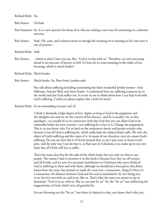Richard Rohr: Yes.

Brie Stoner: Uh-huh.

Paul Swanson: So, it is a new practice for those of us who are seeking a new way of connecting to a coherent universe.

- Brie Stoner: Yeah. Oh, yeah, and it almost seems as though the meaning we're learning to live into now is one of process—
- Richard Rohr: Yeah.
- Brie Stoner: --which is what I hear you say, like, "God is in this with us." Therefore, we can't just jump ahead to an outcome of heaven or hell. It's how do we trust meaning in the midst of not knowing, which is much harder?

Richard Rohr: Much harder.

Brie Stoner: Much harder. So, Peter from London asks:

 You talk about suffering including mentioning the three wonderful Jewish women—Etty Hillesum, Simone Weil, and Anne Frank—I understand how my suffering connects me to the world and that God suffers too. It is new to me to think about how I can help God with God's suffering. Could you please explain this a little bit more?

Richard Rohr: It's an astounding concept, isn't it?

 I think it demands a high degree of love. Again, as long as God is the puppeteer and the almighty one and we are the victims of his choices—and he is usually a he in that paradigm—to actually be so in connection with this God that you can allow God to be vulnerable before his own creation—not suffering for it but in it. Change the preposition. This is, as you know, why I'm so hard on the atonement theory and people wonder why, because it was all God is suffering for, which really kept the subject/object split. We were the object of God's suffering and the cause of it. In many of our churches, your sin causes God's suffering. Do you see how this is 10 levels beyond that, to say I just want to lessen God's pain, and the only way I can do that is, as Paul says in Colossians, is to make up in my own body that all Christ still has to suffer.

 That's the most clear line for the sake of the whole body, but you only see that in rare people. The reason I had to mention it in this book is because here they are all women and all Jewish, and it's sort of a necessary humiliation to Christians who never think of God is suffering in them and with them, although we should have been given that direct lesson from the cross, but instead we made the cross into a transaction. Dang it! Once it's a transaction, the distance between God and the soul is maintained: oh, he's being nice to us, but he's not with us, and in us, like us. That's what the cross was meant to say to humanity: "God is in us, with us, like us, not just for us." So, the "for us" was celebrating the magnanimity of God, which we're all grateful for.

I'm not throwing out the "for us," but when it's limited to that, you know, that's why you,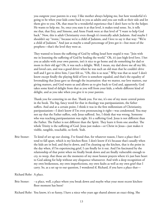you outgrow your parents in a way. I like mother always helping me, but how wonderful it's going to be when your kids come back to you as adults and you can walk at their side and let them give to you. Oh, that must be a wonderful experience that I don't have to be the helper. He wants to help me. So, once you state it at that level, it makes total sense. So, it tells me that, that Etty, and Simone, and Anne Frank were at that level of "I want to help God back." Now, this is adult Christianity even though it's ironically adult Judaism. And maybe I shouldn't say "ironic," because we're a child of Judaism, and I love to say it that way: "We're a child of Judaism." And just as maybe a small percentage of Jews got it—but most of the prophets—that's the level they were at.

 They wanted to lessen the suffering of God by telling Israel how stupid it was: "Join with me in lessening the suffering of God by healing the world." Oh, it's just high-level love. I bet you as adults with your own parents, isn't it nice to go home and do something for dad or mom in their old age? Oh, it was such a delight. Well, I mean, my dad drove me all my life, and loved cars, and was a good driver when he was such an old man that he couldn't drive well and I got to drive him, I just felt so, "Oh, this is so neat." Why was that so neat? I don't know except finally the playing field of love is somehow equaled, and that's the equality of lovemaking that Jesus gave us through the incarnation: that we matter, our love matters, our giving matters, and God wants us and allows us to give back to God and, apparently, God takes some kind of delight from that as you will from your kids, a whole different kind of delight, and as you take when you give it to your parents.

 Thank you for centering in on that. Thank you. For me, it's one of my more central points in the book. The big, fancy word for that in theology was patripassianism, the father suffers. And and at a certain point, I think it was in the first millennium of Christianity, patripassianism—I don't know if I'm even pronouncing it right—was condemned. You may not say that the Father suffers, only Jesus suffered. See, I think that was wrong. Someone who was teaching patripassianism was right. It's a suffering God. Jesus is not different than the Father. The Father is not different than the Spirit. They learn it from one another. The whole Trinity is the suffering of God. Jesus just makes—or Christ in Jesus—just makes it visible, tangible, touchable, so forth. Yeah.

Brie Stoner: To kind of set up our closing, I've found that, for whatever reason, I have a place that I tend to fall apart, which is my kitchen floor. I don't know if it's because that's usually when the kids are in bed, and they're down, and I'm cleaning up the kitchen, that is the point in the day when, if I'm experiencing grief, I can finally let it out. And I'm fascinated by the relationship of that point when we finally break down and are finally vulnerable enough to cry, to weep, that those are the moments of my most honest prayers where it's just bare heart to God asking for help without any eloquence whatsoever. And with a deep recognition of my own brokenness, my own imperfections, my own faults as well as my own grief that I carry. So, as a set up to our question, I wondered if, Richard, if you have a place that—

Richard Rohr: A place.

Brie Stoner: --a place, well, a place where you break down and maybe what your most recent kitchenfloor moment has been?

Richard Rohr: You know, it's so funny, I have a niece who years ago shared almost an exact thing. She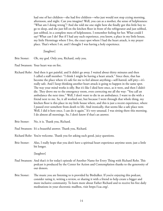had one of her children—she had five children—who just would not stop crying morning, afternoon, and night. Can you imagine? Well, you can as a mother, the sense of helplessness: "What am I doing wrong"? And she told me one night how she finally got this little boy to go to sleep, and she just fell on the kitchen floor in front of the refrigerator and just sobbed, just sobbed, in a complete mess of helplessness. I remember feeling for her. What could I say? What can I do? But if I had any such experience, you know, a place in my little house, my little Hermitage where I live, the exact spot where I had the heart attack, is my prayer place. That's where I sit, and I thought I was having a holy experience.

[laughter]

- Brie Stoner: Oh, my god. Only you, Richard, only you.
- Paul Swanson: Your heart was on fire.
- Richard Rohr: And then it got painful, and It didn't go away. I waited about thirty minutes and then I called a staff member: "I think I might be having a heart attack." Since then, that has become the place where it's safe for me to feel almost anything—self-hatred, self-pity—it's really safe. And I keep thinking another heart attack is going to happen in the same spot. The way your mind works is silly. But it's like I died here once, as it were, and then I didn't die. They drove me to the emergency room, even correcting me all the way: "You call an ambulance the next time." Well, I don't want to die in an ambulance. I want to die with a friend next to me. So, it all worked out, but because I went through that whole thing, my kitchen floor is this place in my little house where, and this is just a recent experience, where I passed over somehow from death to life. And ironically, that seems like a safe place now. Well, I did it here once, I can do it again." It's very unusual. I was sitting there this morning. I do almost all mornings. So, I don't know if that's an answer.
- Brie Stoner: No, it is. Thank you, Richard.
- Paul Swanson: It's a beautiful answer. Thank you, Richard.
- Richard Rohr: You're welcome. Thank you for asking such good, juicy questions.
- Brie Stoner: Also, I really hope that you don't have a spiritual heart experience anytime soon; just a little bit longer.

[laughter]

- Paul Swanson: And that's it for today's episode of Another Name for Every Thing with Richard Rohr. This podcast is produced by the Center for Action and Contemplation thanks to the generosity of our donors.
- Brie Stoner: The music you are listening to is provided by Birdtalker. If you're enjoying this podcast, consider rating it, writing a review, or sharing it with a friend to help create a bigger and more inclusive community. To learn more about Father Richard and to receive his free daily meditations in your electronic mailbox, visit https://cac.org/.